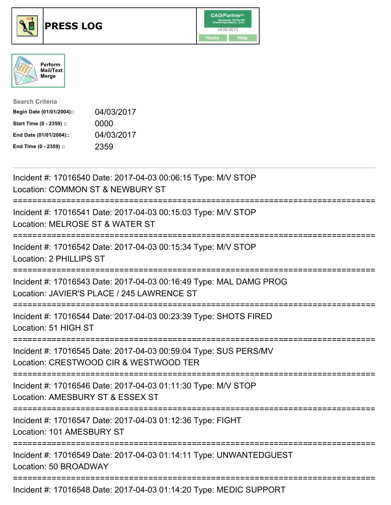





| <b>Search Criteria</b>    |            |
|---------------------------|------------|
| Begin Date (01/01/2004):: | 04/03/2017 |
| Start Time (0 - 2359) ::  | 0000       |
| End Date (01/01/2004)::   | 04/03/2017 |
| End Time (0 - 2359) ::    | 2359       |

| Incident #: 17016540 Date: 2017-04-03 00:06:15 Type: M/V STOP<br>Location: COMMON ST & NEWBURY ST                                                                                                                                                                                                                                  |
|------------------------------------------------------------------------------------------------------------------------------------------------------------------------------------------------------------------------------------------------------------------------------------------------------------------------------------|
| Incident #: 17016541 Date: 2017-04-03 00:15:03 Type: M/V STOP<br>Location: MELROSE ST & WATER ST                                                                                                                                                                                                                                   |
| Incident #: 17016542 Date: 2017-04-03 00:15:34 Type: M/V STOP<br>Location: 2 PHILLIPS ST                                                                                                                                                                                                                                           |
| Incident #: 17016543 Date: 2017-04-03 00:16:49 Type: MAL DAMG PROG<br>Location: JAVIER'S PLACE / 245 LAWRENCE ST                                                                                                                                                                                                                   |
| Incident #: 17016544 Date: 2017-04-03 00:23:39 Type: SHOTS FIRED<br>Location: 51 HIGH ST<br>:=====================================                                                                                                                                                                                                 |
| Incident #: 17016545 Date: 2017-04-03 00:59:04 Type: SUS PERS/MV<br>Location: CRESTWOOD CIR & WESTWOOD TER                                                                                                                                                                                                                         |
| Incident #: 17016546 Date: 2017-04-03 01:11:30 Type: M/V STOP<br>Location: AMESBURY ST & ESSEX ST                                                                                                                                                                                                                                  |
| Incident #: 17016547 Date: 2017-04-03 01:12:36 Type: FIGHT<br>Location: 101 AMESBURY ST                                                                                                                                                                                                                                            |
| Incident #: 17016549 Date: 2017-04-03 01:14:11 Type: UNWANTEDGUEST<br>Location: 50 BROADWAY                                                                                                                                                                                                                                        |
| $\mathbf{I}$ $\mathbf{I}$ $\mathbf{I}$ $\mathbf{I}$ $\mathbf{I}$ $\mathbf{I}$ $\mathbf{I}$ $\mathbf{I}$ $\mathbf{I}$ $\mathbf{I}$ $\mathbf{I}$ $\mathbf{I}$ $\mathbf{I}$ $\mathbf{I}$ $\mathbf{I}$ $\mathbf{I}$ $\mathbf{I}$ $\mathbf{I}$ $\mathbf{I}$ $\mathbf{I}$ $\mathbf{I}$ $\mathbf{I}$ $\mathbf{I}$ $\mathbf{I}$ $\mathbf{$ |

Incident #: 17016548 Date: 2017-04-03 01:14:20 Type: MEDIC SUPPORT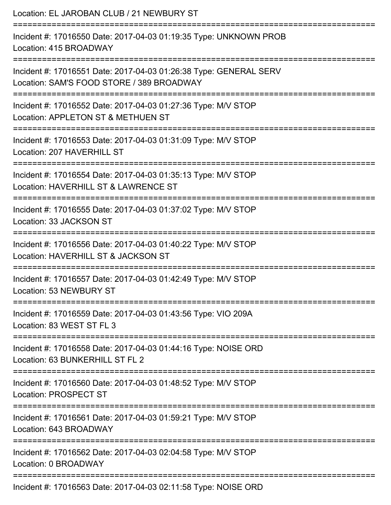| Location: EL JAROBAN CLUB / 21 NEWBURY ST                                                                      |
|----------------------------------------------------------------------------------------------------------------|
| Incident #: 17016550 Date: 2017-04-03 01:19:35 Type: UNKNOWN PROB<br>Location: 415 BROADWAY                    |
| Incident #: 17016551 Date: 2017-04-03 01:26:38 Type: GENERAL SERV<br>Location: SAM'S FOOD STORE / 389 BROADWAY |
| Incident #: 17016552 Date: 2017-04-03 01:27:36 Type: M/V STOP<br>Location: APPLETON ST & METHUEN ST            |
| Incident #: 17016553 Date: 2017-04-03 01:31:09 Type: M/V STOP<br>Location: 207 HAVERHILL ST                    |
| Incident #: 17016554 Date: 2017-04-03 01:35:13 Type: M/V STOP<br>Location: HAVERHILL ST & LAWRENCE ST          |
| Incident #: 17016555 Date: 2017-04-03 01:37:02 Type: M/V STOP<br>Location: 33 JACKSON ST                       |
| Incident #: 17016556 Date: 2017-04-03 01:40:22 Type: M/V STOP<br>Location: HAVERHILL ST & JACKSON ST           |
| Incident #: 17016557 Date: 2017-04-03 01:42:49 Type: M/V STOP<br>Location: 53 NEWBURY ST                       |
| Incident #: 17016559 Date: 2017-04-03 01:43:56 Type: VIO 209A<br>Location: 83 WEST ST FL 3                     |
| Incident #: 17016558 Date: 2017-04-03 01:44:16 Type: NOISE ORD<br>Location: 63 BUNKERHILL ST FL 2              |
| Incident #: 17016560 Date: 2017-04-03 01:48:52 Type: M/V STOP<br>Location: PROSPECT ST                         |
| Incident #: 17016561 Date: 2017-04-03 01:59:21 Type: M/V STOP<br>Location: 643 BROADWAY                        |
| Incident #: 17016562 Date: 2017-04-03 02:04:58 Type: M/V STOP<br>Location: 0 BROADWAY                          |
|                                                                                                                |

Incident #: 17016563 Date: 2017-04-03 02:11:58 Type: NOISE ORD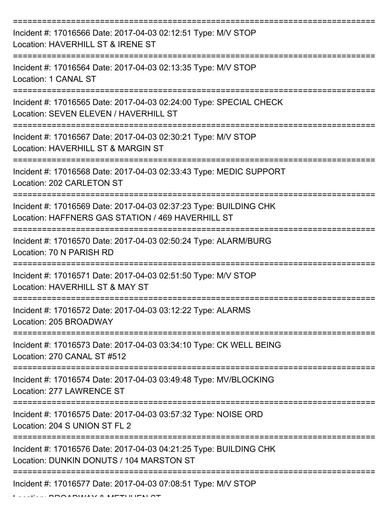| Incident #: 17016566 Date: 2017-04-03 02:12:51 Type: M/V STOP<br>Location: HAVERHILL ST & IRENE ST                     |
|------------------------------------------------------------------------------------------------------------------------|
| Incident #: 17016564 Date: 2017-04-03 02:13:35 Type: M/V STOP<br>Location: 1 CANAL ST                                  |
| Incident #: 17016565 Date: 2017-04-03 02:24:00 Type: SPECIAL CHECK<br>Location: SEVEN ELEVEN / HAVERHILL ST            |
| Incident #: 17016567 Date: 2017-04-03 02:30:21 Type: M/V STOP<br>Location: HAVERHILL ST & MARGIN ST                    |
| Incident #: 17016568 Date: 2017-04-03 02:33:43 Type: MEDIC SUPPORT<br>Location: 202 CARLETON ST                        |
| Incident #: 17016569 Date: 2017-04-03 02:37:23 Type: BUILDING CHK<br>Location: HAFFNERS GAS STATION / 469 HAVERHILL ST |
| Incident #: 17016570 Date: 2017-04-03 02:50:24 Type: ALARM/BURG<br>Location: 70 N PARISH RD                            |
| Incident #: 17016571 Date: 2017-04-03 02:51:50 Type: M/V STOP<br>Location: HAVERHILL ST & MAY ST                       |
| Incident #: 17016572 Date: 2017-04-03 03:12:22 Type: ALARMS<br>Location: 205 BROADWAY                                  |
| Incident #: 17016573 Date: 2017-04-03 03:34:10 Type: CK WELL BEING<br>Location: 270 CANAL ST #512                      |
| Incident #: 17016574 Date: 2017-04-03 03:49:48 Type: MV/BLOCKING<br>Location: 277 LAWRENCE ST                          |
| Incident #: 17016575 Date: 2017-04-03 03:57:32 Type: NOISE ORD<br>Location: 204 S UNION ST FL 2                        |
| Incident #: 17016576 Date: 2017-04-03 04:21:25 Type: BUILDING CHK<br>Location: DUNKIN DONUTS / 104 MARSTON ST          |
| Incident #: 17016577 Date: 2017-04-03 07:08:51 Type: M/V STOP                                                          |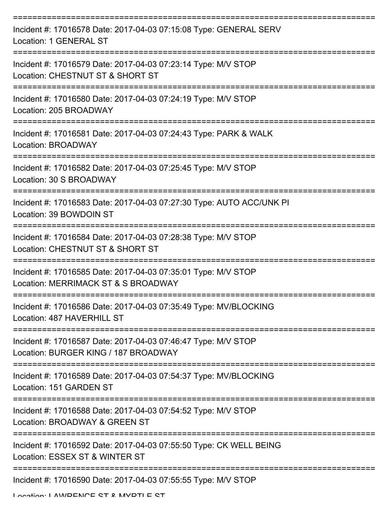| Incident #: 17016578 Date: 2017-04-03 07:15:08 Type: GENERAL SERV<br>Location: 1 GENERAL ST                  |
|--------------------------------------------------------------------------------------------------------------|
| Incident #: 17016579 Date: 2017-04-03 07:23:14 Type: M/V STOP<br>Location: CHESTNUT ST & SHORT ST            |
| Incident #: 17016580 Date: 2017-04-03 07:24:19 Type: M/V STOP<br>Location: 205 BROADWAY                      |
| Incident #: 17016581 Date: 2017-04-03 07:24:43 Type: PARK & WALK<br>Location: BROADWAY                       |
| Incident #: 17016582 Date: 2017-04-03 07:25:45 Type: M/V STOP<br>Location: 30 S BROADWAY                     |
| Incident #: 17016583 Date: 2017-04-03 07:27:30 Type: AUTO ACC/UNK PI<br>Location: 39 BOWDOIN ST              |
| Incident #: 17016584 Date: 2017-04-03 07:28:38 Type: M/V STOP<br>Location: CHESTNUT ST & SHORT ST            |
| Incident #: 17016585 Date: 2017-04-03 07:35:01 Type: M/V STOP<br>Location: MERRIMACK ST & S BROADWAY         |
| Incident #: 17016586 Date: 2017-04-03 07:35:49 Type: MV/BLOCKING<br>Location: 487 HAVERHILL ST<br>---------- |
| Incident #: 17016587 Date: 2017-04-03 07:46:47 Type: M/V STOP<br>Location: BURGER KING / 187 BROADWAY        |
| Incident #: 17016589 Date: 2017-04-03 07:54:37 Type: MV/BLOCKING<br>Location: 151 GARDEN ST                  |
| Incident #: 17016588 Date: 2017-04-03 07:54:52 Type: M/V STOP<br>Location: BROADWAY & GREEN ST               |
| Incident #: 17016592 Date: 2017-04-03 07:55:50 Type: CK WELL BEING<br>Location: ESSEX ST & WINTER ST         |
| Incident #: 17016590 Date: 2017-04-03 07:55:55 Type: M/V STOP                                                |

Location: LAWDENCE ST & MVDTLE ST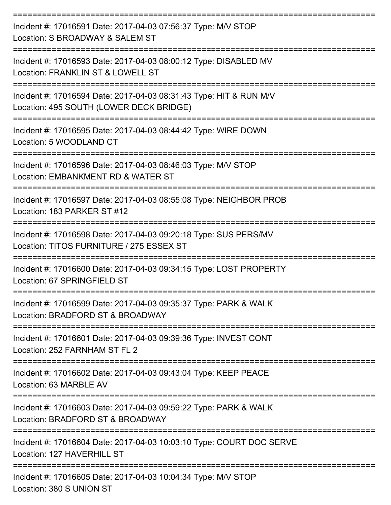| Incident #: 17016591 Date: 2017-04-03 07:56:37 Type: M/V STOP<br>Location: S BROADWAY & SALEM ST                      |
|-----------------------------------------------------------------------------------------------------------------------|
| Incident #: 17016593 Date: 2017-04-03 08:00:12 Type: DISABLED MV<br>Location: FRANKLIN ST & LOWELL ST                 |
| Incident #: 17016594 Date: 2017-04-03 08:31:43 Type: HIT & RUN M/V<br>Location: 495 SOUTH (LOWER DECK BRIDGE)         |
| Incident #: 17016595 Date: 2017-04-03 08:44:42 Type: WIRE DOWN<br>Location: 5 WOODLAND CT                             |
| --------------<br>Incident #: 17016596 Date: 2017-04-03 08:46:03 Type: M/V STOP<br>Location: EMBANKMENT RD & WATER ST |
| Incident #: 17016597 Date: 2017-04-03 08:55:08 Type: NEIGHBOR PROB<br>Location: 183 PARKER ST #12                     |
| Incident #: 17016598 Date: 2017-04-03 09:20:18 Type: SUS PERS/MV<br>Location: TITOS FURNITURE / 275 ESSEX ST          |
| Incident #: 17016600 Date: 2017-04-03 09:34:15 Type: LOST PROPERTY<br>Location: 67 SPRINGFIELD ST                     |
| Incident #: 17016599 Date: 2017-04-03 09:35:37 Type: PARK & WALK<br>Location: BRADFORD ST & BROADWAY                  |
| Incident #: 17016601 Date: 2017-04-03 09:39:36 Type: INVEST CONT<br>Location: 252 FARNHAM ST FL 2                     |
| Incident #: 17016602 Date: 2017-04-03 09:43:04 Type: KEEP PEACE<br>Location: 63 MARBLE AV                             |
| Incident #: 17016603 Date: 2017-04-03 09:59:22 Type: PARK & WALK<br>Location: BRADFORD ST & BROADWAY                  |
| Incident #: 17016604 Date: 2017-04-03 10:03:10 Type: COURT DOC SERVE<br>Location: 127 HAVERHILL ST                    |
| Incident #: 17016605 Date: 2017-04-03 10:04:34 Type: M/V STOP                                                         |

Location: 380 S UNION ST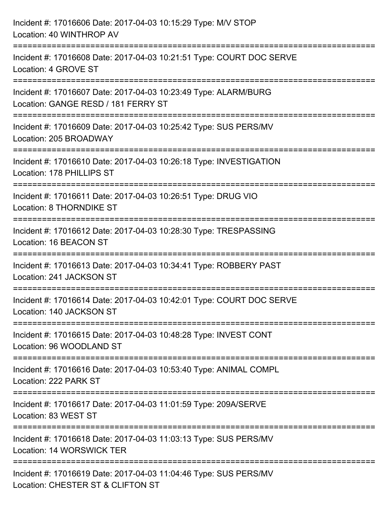| Incident #: 17016606 Date: 2017-04-03 10:15:29 Type: M/V STOP<br>Location: 40 WINTHROP AV              |
|--------------------------------------------------------------------------------------------------------|
| Incident #: 17016608 Date: 2017-04-03 10:21:51 Type: COURT DOC SERVE<br>Location: 4 GROVE ST           |
| Incident #: 17016607 Date: 2017-04-03 10:23:49 Type: ALARM/BURG<br>Location: GANGE RESD / 181 FERRY ST |
| Incident #: 17016609 Date: 2017-04-03 10:25:42 Type: SUS PERS/MV<br>Location: 205 BROADWAY             |
| Incident #: 17016610 Date: 2017-04-03 10:26:18 Type: INVESTIGATION<br>Location: 178 PHILLIPS ST        |
| Incident #: 17016611 Date: 2017-04-03 10:26:51 Type: DRUG VIO<br>Location: 8 THORNDIKE ST              |
| Incident #: 17016612 Date: 2017-04-03 10:28:30 Type: TRESPASSING<br>Location: 16 BEACON ST             |
| Incident #: 17016613 Date: 2017-04-03 10:34:41 Type: ROBBERY PAST<br>Location: 241 JACKSON ST          |
| Incident #: 17016614 Date: 2017-04-03 10:42:01 Type: COURT DOC SERVE<br>Location: 140 JACKSON ST       |
| Incident #: 17016615 Date: 2017-04-03 10:48:28 Type: INVEST CONT<br>Location: 96 WOODLAND ST           |
| Incident #: 17016616 Date: 2017-04-03 10:53:40 Type: ANIMAL COMPL<br>Location: 222 PARK ST             |
| Incident #: 17016617 Date: 2017-04-03 11:01:59 Type: 209A/SERVE<br>Location: 83 WEST ST                |
| Incident #: 17016618 Date: 2017-04-03 11:03:13 Type: SUS PERS/MV<br>Location: 14 WORSWICK TER          |
| Incident #: 17016619 Date: 2017-04-03 11:04:46 Type: SUS PERS/MV<br>Location: CHESTER ST & CLIFTON ST  |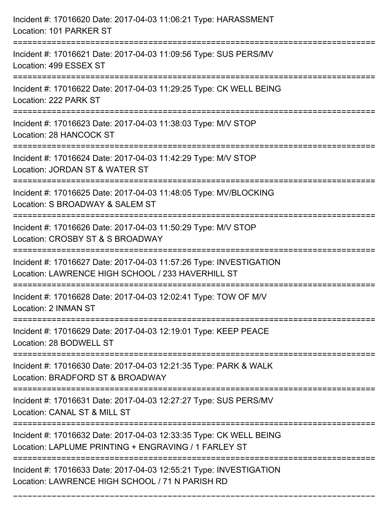| Incident #: 17016620 Date: 2017-04-03 11:06:21 Type: HARASSMENT<br>Location: 101 PARKER ST                                       |
|----------------------------------------------------------------------------------------------------------------------------------|
| ==================================<br>Incident #: 17016621 Date: 2017-04-03 11:09:56 Type: SUS PERS/MV<br>Location: 499 ESSEX ST |
| =================<br>Incident #: 17016622 Date: 2017-04-03 11:29:25 Type: CK WELL BEING<br>Location: 222 PARK ST                 |
| Incident #: 17016623 Date: 2017-04-03 11:38:03 Type: M/V STOP<br>Location: 28 HANCOCK ST                                         |
| Incident #: 17016624 Date: 2017-04-03 11:42:29 Type: M/V STOP<br>Location: JORDAN ST & WATER ST                                  |
| Incident #: 17016625 Date: 2017-04-03 11:48:05 Type: MV/BLOCKING<br>Location: S BROADWAY & SALEM ST                              |
| ;====================<br>Incident #: 17016626 Date: 2017-04-03 11:50:29 Type: M/V STOP<br>Location: CROSBY ST & S BROADWAY       |
| Incident #: 17016627 Date: 2017-04-03 11:57:26 Type: INVESTIGATION<br>Location: LAWRENCE HIGH SCHOOL / 233 HAVERHILL ST          |
| Incident #: 17016628 Date: 2017-04-03 12:02:41 Type: TOW OF M/V<br>Location: 2 INMAN ST                                          |
| Incident #: 17016629 Date: 2017-04-03 12:19:01 Type: KEEP PEACE<br>Location: 28 BODWELL ST                                       |
| Incident #: 17016630 Date: 2017-04-03 12:21:35 Type: PARK & WALK<br>Location: BRADFORD ST & BROADWAY                             |
| Incident #: 17016631 Date: 2017-04-03 12:27:27 Type: SUS PERS/MV<br>Location: CANAL ST & MILL ST                                 |
| Incident #: 17016632 Date: 2017-04-03 12:33:35 Type: CK WELL BEING<br>Location: LAPLUME PRINTING + ENGRAVING / 1 FARLEY ST       |
| Incident #: 17016633 Date: 2017-04-03 12:55:21 Type: INVESTIGATION<br>Location: LAWRENCE HIGH SCHOOL / 71 N PARISH RD            |

===========================================================================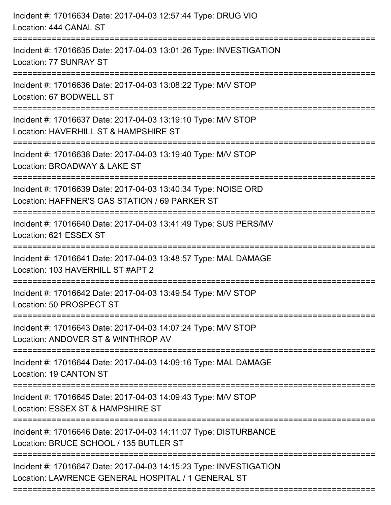| Incident #: 17016634 Date: 2017-04-03 12:57:44 Type: DRUG VIO<br>Location: 444 CANAL ST                                      |
|------------------------------------------------------------------------------------------------------------------------------|
| :==============<br>Incident #: 17016635 Date: 2017-04-03 13:01:26 Type: INVESTIGATION<br>Location: 77 SUNRAY ST              |
| Incident #: 17016636 Date: 2017-04-03 13:08:22 Type: M/V STOP<br>Location: 67 BODWELL ST                                     |
| Incident #: 17016637 Date: 2017-04-03 13:19:10 Type: M/V STOP<br>Location: HAVERHILL ST & HAMPSHIRE ST                       |
| Incident #: 17016638 Date: 2017-04-03 13:19:40 Type: M/V STOP<br>Location: BROADWAY & LAKE ST                                |
| Incident #: 17016639 Date: 2017-04-03 13:40:34 Type: NOISE ORD<br>Location: HAFFNER'S GAS STATION / 69 PARKER ST             |
| Incident #: 17016640 Date: 2017-04-03 13:41:49 Type: SUS PERS/MV<br>Location: 621 ESSEX ST<br>============================== |
| Incident #: 17016641 Date: 2017-04-03 13:48:57 Type: MAL DAMAGE<br>Location: 103 HAVERHILL ST #APT 2                         |
| Incident #: 17016642 Date: 2017-04-03 13:49:54 Type: M/V STOP<br>Location: 50 PROSPECT ST                                    |
| Incident #: 17016643 Date: 2017-04-03 14:07:24 Type: M/V STOP<br>Location: ANDOVER ST & WINTHROP AV                          |
| Incident #: 17016644 Date: 2017-04-03 14:09:16 Type: MAL DAMAGE<br>Location: 19 CANTON ST                                    |
| Incident #: 17016645 Date: 2017-04-03 14:09:43 Type: M/V STOP<br>Location: ESSEX ST & HAMPSHIRE ST                           |
| Incident #: 17016646 Date: 2017-04-03 14:11:07 Type: DISTURBANCE<br>Location: BRUCE SCHOOL / 135 BUTLER ST                   |
| Incident #: 17016647 Date: 2017-04-03 14:15:23 Type: INVESTIGATION<br>Location: LAWRENCE GENERAL HOSPITAL / 1 GENERAL ST     |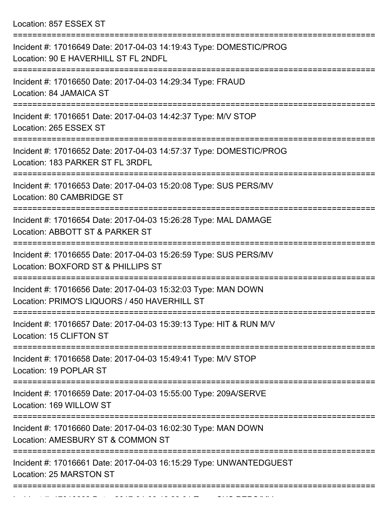Location: 857 ESSEX ST

| Incident #: 17016649 Date: 2017-04-03 14:19:43 Type: DOMESTIC/PROG<br>Location: 90 E HAVERHILL ST FL 2NDFL    |
|---------------------------------------------------------------------------------------------------------------|
| Incident #: 17016650 Date: 2017-04-03 14:29:34 Type: FRAUD<br>Location: 84 JAMAICA ST                         |
| Incident #: 17016651 Date: 2017-04-03 14:42:37 Type: M/V STOP<br>Location: 265 ESSEX ST                       |
| Incident #: 17016652 Date: 2017-04-03 14:57:37 Type: DOMESTIC/PROG<br>Location: 183 PARKER ST FL 3RDFL        |
| Incident #: 17016653 Date: 2017-04-03 15:20:08 Type: SUS PERS/MV<br>Location: 80 CAMBRIDGE ST                 |
| Incident #: 17016654 Date: 2017-04-03 15:26:28 Type: MAL DAMAGE<br>Location: ABBOTT ST & PARKER ST            |
| Incident #: 17016655 Date: 2017-04-03 15:26:59 Type: SUS PERS/MV<br>Location: BOXFORD ST & PHILLIPS ST        |
| Incident #: 17016656 Date: 2017-04-03 15:32:03 Type: MAN DOWN<br>Location: PRIMO'S LIQUORS / 450 HAVERHILL ST |
| Incident #: 17016657 Date: 2017-04-03 15:39:13 Type: HIT & RUN M/V<br>Location: 15 CLIFTON ST                 |
| Incident #: 17016658 Date: 2017-04-03 15:49:41 Type: M/V STOP<br>Location: 19 POPLAR ST                       |
| Incident #: 17016659 Date: 2017-04-03 15:55:00 Type: 209A/SERVE<br>Location: 169 WILLOW ST                    |
| Incident #: 17016660 Date: 2017-04-03 16:02:30 Type: MAN DOWN<br>Location: AMESBURY ST & COMMON ST            |
| Incident #: 17016661 Date: 2017-04-03 16:15:29 Type: UNWANTEDGUEST<br>Location: 25 MARSTON ST                 |
|                                                                                                               |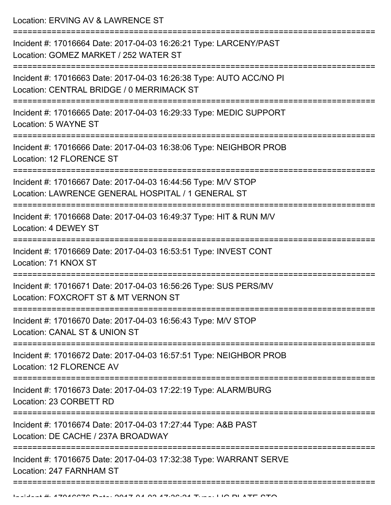Location: ERVING AV & LAWRENCE ST

| Incident #: 17016664 Date: 2017-04-03 16:26:21 Type: LARCENY/PAST<br>Location: GOMEZ MARKET / 252 WATER ST            |
|-----------------------------------------------------------------------------------------------------------------------|
| Incident #: 17016663 Date: 2017-04-03 16:26:38 Type: AUTO ACC/NO PI<br>Location: CENTRAL BRIDGE / 0 MERRIMACK ST      |
| Incident #: 17016665 Date: 2017-04-03 16:29:33 Type: MEDIC SUPPORT<br>Location: 5 WAYNE ST                            |
| Incident #: 17016666 Date: 2017-04-03 16:38:06 Type: NEIGHBOR PROB<br>Location: 12 FLORENCE ST                        |
| Incident #: 17016667 Date: 2017-04-03 16:44:56 Type: M/V STOP<br>Location: LAWRENCE GENERAL HOSPITAL / 1 GENERAL ST   |
| Incident #: 17016668 Date: 2017-04-03 16:49:37 Type: HIT & RUN M/V<br>Location: 4 DEWEY ST                            |
| Incident #: 17016669 Date: 2017-04-03 16:53:51 Type: INVEST CONT<br>Location: 71 KNOX ST                              |
| Incident #: 17016671 Date: 2017-04-03 16:56:26 Type: SUS PERS/MV<br>Location: FOXCROFT ST & MT VERNON ST              |
| Incident #: 17016670 Date: 2017-04-03 16:56:43 Type: M/V STOP<br>Location: CANAL ST & UNION ST                        |
| Incident #: 17016672 Date: 2017-04-03 16:57:51 Type: NEIGHBOR PROB<br>Location: 12 FLORENCE AV                        |
| =======================<br>Incident #: 17016673 Date: 2017-04-03 17:22:19 Type: ALARM/BURG<br>Location: 23 CORBETT RD |
| Incident #: 17016674 Date: 2017-04-03 17:27:44 Type: A&B PAST<br>Location: DE CACHE / 237A BROADWAY                   |
| Incident #: 17016675 Date: 2017-04-03 17:32:38 Type: WARRANT SERVE<br>Location: 247 FARNHAM ST                        |
|                                                                                                                       |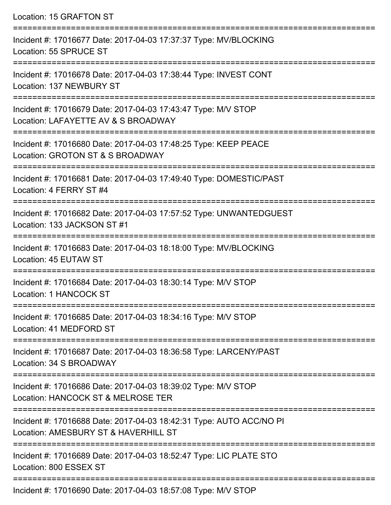Location: 15 GRAFTON ST ===========================================================================

Incident #: 17016677 Date: 2017-04-03 17:37:37 Type: MV/BLOCKING Location: 55 SPRUCE ST

=========================================================================== Incident #: 17016678 Date: 2017-04-03 17:38:44 Type: INVEST CONT

Location: 137 NEWBURY ST

===========================================================================

Incident #: 17016679 Date: 2017-04-03 17:43:47 Type: M/V STOP

Location: LAFAYETTE AV & S BROADWAY

===========================================================================

Incident #: 17016680 Date: 2017-04-03 17:48:25 Type: KEEP PEACE Location: GROTON ST & S BROADWAY

===========================================================================

Incident #: 17016681 Date: 2017-04-03 17:49:40 Type: DOMESTIC/PAST

Location: 4 FERRY ST #4

===========================================================================

Incident #: 17016682 Date: 2017-04-03 17:57:52 Type: UNWANTEDGUEST Location: 133 JACKSON ST #1

===========================================================================

Incident #: 17016683 Date: 2017-04-03 18:18:00 Type: MV/BLOCKING

Location: 45 EUTAW ST

===========================================================================

Incident #: 17016684 Date: 2017-04-03 18:30:14 Type: M/V STOP

Location: 1 HANCOCK ST

=========================================================================== Incident #: 17016685 Date: 2017-04-03 18:34:16 Type: M/V STOP

Location: 41 MEDFORD ST

=========================================================================== Incident #: 17016687 Date: 2017-04-03 18:36:58 Type: LARCENY/PAST

Location: 34 S BROADWAY

===========================================================================

Incident #: 17016686 Date: 2017-04-03 18:39:02 Type: M/V STOP Location: HANCOCK ST & MELROSE TER

===========================================================================

Incident #: 17016688 Date: 2017-04-03 18:42:31 Type: AUTO ACC/NO PI

Location: AMESBURY ST & HAVERHILL ST

===========================================================================

Incident #: 17016689 Date: 2017-04-03 18:52:47 Type: LIC PLATE STO Location: 800 ESSEX ST

===========================================================================

Incident #: 17016690 Date: 2017-04-03 18:57:08 Type: M/V STOP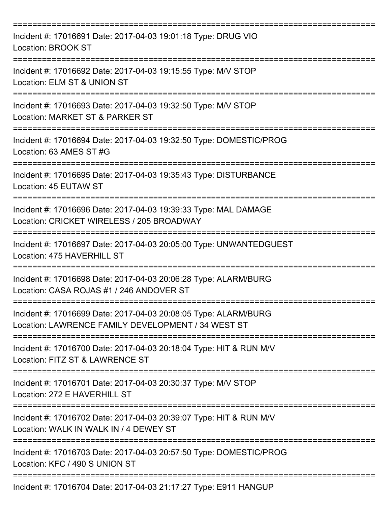| Incident #: 17016691 Date: 2017-04-03 19:01:18 Type: DRUG VIO<br><b>Location: BROOK ST</b>                            |
|-----------------------------------------------------------------------------------------------------------------------|
| Incident #: 17016692 Date: 2017-04-03 19:15:55 Type: M/V STOP<br>Location: ELM ST & UNION ST                          |
| Incident #: 17016693 Date: 2017-04-03 19:32:50 Type: M/V STOP<br>Location: MARKET ST & PARKER ST                      |
| Incident #: 17016694 Date: 2017-04-03 19:32:50 Type: DOMESTIC/PROG<br>Location: 63 AMES ST #G                         |
| Incident #: 17016695 Date: 2017-04-03 19:35:43 Type: DISTURBANCE<br>Location: 45 EUTAW ST                             |
| Incident #: 17016696 Date: 2017-04-03 19:39:33 Type: MAL DAMAGE<br>Location: CRICKET WIRELESS / 205 BROADWAY          |
| Incident #: 17016697 Date: 2017-04-03 20:05:00 Type: UNWANTEDGUEST<br>Location: 475 HAVERHILL ST                      |
| Incident #: 17016698 Date: 2017-04-03 20:06:28 Type: ALARM/BURG<br>Location: CASA ROJAS #1 / 246 ANDOVER ST           |
| Incident #: 17016699 Date: 2017-04-03 20:08:05 Type: ALARM/BURG<br>Location: LAWRENCE FAMILY DEVELOPMENT / 34 WEST ST |
| Incident #: 17016700 Date: 2017-04-03 20:18:04 Type: HIT & RUN M/V<br>Location: FITZ ST & LAWRENCE ST                 |
| Incident #: 17016701 Date: 2017-04-03 20:30:37 Type: M/V STOP<br>Location: 272 E HAVERHILL ST                         |
| Incident #: 17016702 Date: 2017-04-03 20:39:07 Type: HIT & RUN M/V<br>Location: WALK IN WALK IN / 4 DEWEY ST          |
| Incident #: 17016703 Date: 2017-04-03 20:57:50 Type: DOMESTIC/PROG<br>Location: KFC / 490 S UNION ST                  |
| Incident #: 17016704 Date: 2017-04-03 21:17:27 Type: E911 HANGUP                                                      |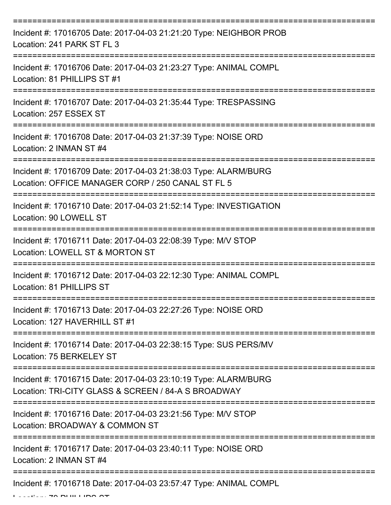| Incident #: 17016705 Date: 2017-04-03 21:21:20 Type: NEIGHBOR PROB<br>Location: 241 PARK ST FL 3                       |
|------------------------------------------------------------------------------------------------------------------------|
| Incident #: 17016706 Date: 2017-04-03 21:23:27 Type: ANIMAL COMPL<br>Location: 81 PHILLIPS ST #1                       |
| Incident #: 17016707 Date: 2017-04-03 21:35:44 Type: TRESPASSING<br>Location: 257 ESSEX ST                             |
| Incident #: 17016708 Date: 2017-04-03 21:37:39 Type: NOISE ORD<br>Location: 2 INMAN ST #4                              |
| Incident #: 17016709 Date: 2017-04-03 21:38:03 Type: ALARM/BURG<br>Location: OFFICE MANAGER CORP / 250 CANAL ST FL 5   |
| Incident #: 17016710 Date: 2017-04-03 21:52:14 Type: INVESTIGATION<br>Location: 90 LOWELL ST                           |
| Incident #: 17016711 Date: 2017-04-03 22:08:39 Type: M/V STOP<br>Location: LOWELL ST & MORTON ST                       |
| Incident #: 17016712 Date: 2017-04-03 22:12:30 Type: ANIMAL COMPL<br>Location: 81 PHILLIPS ST                          |
| Incident #: 17016713 Date: 2017-04-03 22:27:26 Type: NOISE ORD<br>Location: 127 HAVERHILL ST #1                        |
| Incident #: 17016714 Date: 2017-04-03 22:38:15 Type: SUS PERS/MV<br>Location: 75 BERKELEY ST                           |
| Incident #: 17016715 Date: 2017-04-03 23:10:19 Type: ALARM/BURG<br>Location: TRI-CITY GLASS & SCREEN / 84-A S BROADWAY |
| Incident #: 17016716 Date: 2017-04-03 23:21:56 Type: M/V STOP<br>Location: BROADWAY & COMMON ST                        |
| Incident #: 17016717 Date: 2017-04-03 23:40:11 Type: NOISE ORD<br>Location: 2 INMAN ST #4                              |
| Incident #: 17016718 Date: 2017-04-03 23:57:47 Type: ANIMAL COMPL                                                      |